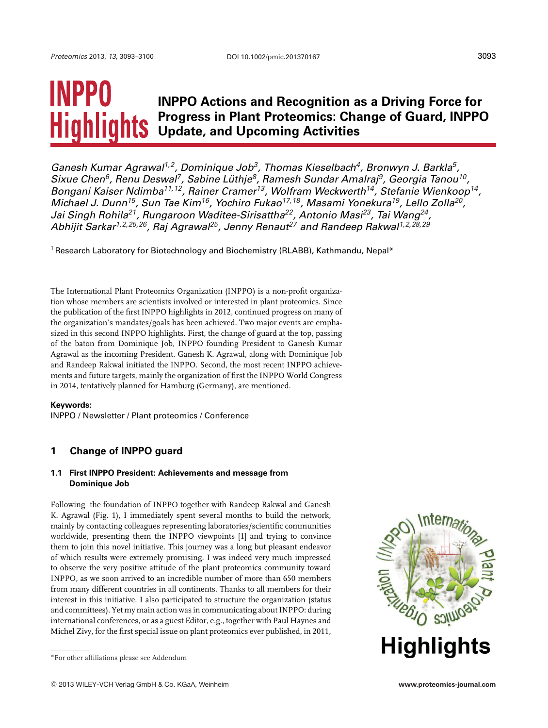## **INPPO INPPO Actions and Recognition as a Driving Force for Highlights Progress in Plant Proteomics: Change of Guard, INPPO Update, and Upcoming Activities**

*Ganesh Kumar Agrawal1,2, Dominique Job3, Thomas Kieselbach4, Bronwyn J. Barkla5, Sixue Chen6, Renu Deswal7, Sabine Luthje ¨ 8, Ramesh Sundar Amalraj9, Georgia Tanou10, Bongani Kaiser Ndimba11,12, Rainer Cramer13, Wolfram Weckwerth14, Stefanie Wienkoop14, Michael J. Dunn15, Sun Tae Kim16, Yochiro Fukao17,18, Masami Yonekura19, Lello Zolla20, Jai Singh Rohila21, Rungaroon Waditee-Sirisattha22, Antonio Masi23, Tai Wang24, Abhijit Sarkar1,2,25,26, Raj Agrawal25, Jenny Renaut27 and Randeep Rakwal1,2,28,29*

<sup>1</sup> Research Laboratory for Biotechnology and Biochemistry (RLABB), Kathmandu, Nepal\*

The International Plant Proteomics Organization (INPPO) is a non-profit organization whose members are scientists involved or interested in plant proteomics. Since the publication of the first INPPO highlights in 2012, continued progress on many of the organization's mandates/goals has been achieved. Two major events are emphasized in this second INPPO highlights. First, the change of guard at the top, passing of the baton from Dominique Job, INPPO founding President to Ganesh Kumar Agrawal as the incoming President. Ganesh K. Agrawal, along with Dominique Job and Randeep Rakwal initiated the INPPO. Second, the most recent INPPO achievements and future targets, mainly the organization of first the INPPO World Congress in 2014, tentatively planned for Hamburg (Germany), are mentioned.

#### **Keywords:**

INPPO / Newsletter / Plant proteomics / Conference

## **1 Change of INPPO guard**

#### **1.1 First INPPO President: Achievements and message from Dominique Job**

Following the foundation of INPPO together with Randeep Rakwal and Ganesh K. Agrawal (Fig. 1), I immediately spent several months to build the network, mainly by contacting colleagues representing laboratories/scientific communities worldwide, presenting them the INPPO viewpoints [1] and trying to convince them to join this novel initiative. This journey was a long but pleasant endeavor of which results were extremely promising. I was indeed very much impressed to observe the very positive attitude of the plant proteomics community toward INPPO, as we soon arrived to an incredible number of more than 650 members from many different countries in all continents. Thanks to all members for their interest in this initiative. I also participated to structure the organization (status and committees). Yet my main action was in communicating about INPPO: during international conferences, or as a guest Editor, e.g., together with Paul Haynes and Michel Zivy, for the first special issue on plant proteomics ever published, in 2011,

<sup>∗</sup>For other affiliations please see Addendum



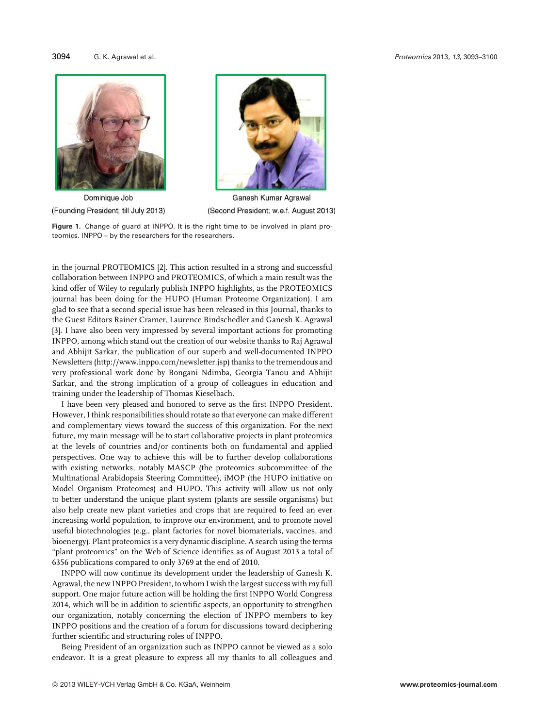#### 3094 G. K. Agrawal et al. *Proteomics* 2013, *13*, 3093–3100



Dominique Job (Founding President; till July 2013)



Ganesh Kumar Agrawal (Second President; w.e.f. August 2013)

**Figure 1.** Change of guard at INPPO. It is the right time to be involved in plant proteomics. INPPO – by the researchers for the researchers.

in the journal PROTEOMICS [2]. This action resulted in a strong and successful collaboration between INPPO and PROTEOMICS, of which a main result was the kind offer of Wiley to regularly publish INPPO highlights, as the PROTEOMICS journal has been doing for the HUPO (Human Proteome Organization). I am glad to see that a second special issue has been released in this Journal, thanks to the Guest Editors Rainer Cramer, Laurence Bindschedler and Ganesh K. Agrawal [3]. I have also been very impressed by several important actions for promoting INPPO, among which stand out the creation of our website thanks to Raj Agrawal and Abhijit Sarkar, the publication of our superb and well-documented INPPO Newsletters [\(http://www.inppo.com/newsletter.jsp\)](http://www.inppo.com/newsletter.jsp) thanks to the tremendous and very professional work done by Bongani Ndimba, Georgia Tanou and Abhijit Sarkar, and the strong implication of a group of colleagues in education and training under the leadership of Thomas Kieselbach.

I have been very pleased and honored to serve as the first INPPO President. However, I think responsibilities should rotate so that everyone can make different and complementary views toward the success of this organization. For the next future, my main message will be to start collaborative projects in plant proteomics at the levels of countries and/or continents both on fundamental and applied perspectives. One way to achieve this will be to further develop collaborations with existing networks, notably MASCP (the proteomics subcommittee of the Multinational Arabidopsis Steering Committee), iMOP (the HUPO initiative on Model Organism Proteomes) and HUPO. This activity will allow us not only to better understand the unique plant system (plants are sessile organisms) but also help create new plant varieties and crops that are required to feed an ever increasing world population, to improve our environment, and to promote novel useful biotechnologies (e.g., plant factories for novel biomaterials, vaccines, and bioenergy). Plant proteomics is a very dynamic discipline. A search using the terms "plant proteomics" on the Web of Science identifies as of August 2013 a total of 6356 publications compared to only 3769 at the end of 2010.

INPPO will now continue its development under the leadership of Ganesh K. Agrawal, the new INPPO President, to whom I wish the largest success with my full support. One major future action will be holding the first INPPO World Congress 2014, which will be in addition to scientific aspects, an opportunity to strengthen our organization, notably concerning the election of INPPO members to key INPPO positions and the creation of a forum for discussions toward deciphering further scientific and structuring roles of INPPO.

Being President of an organization such as INPPO cannot be viewed as a solo endeavor. It is a great pleasure to express all my thanks to all colleagues and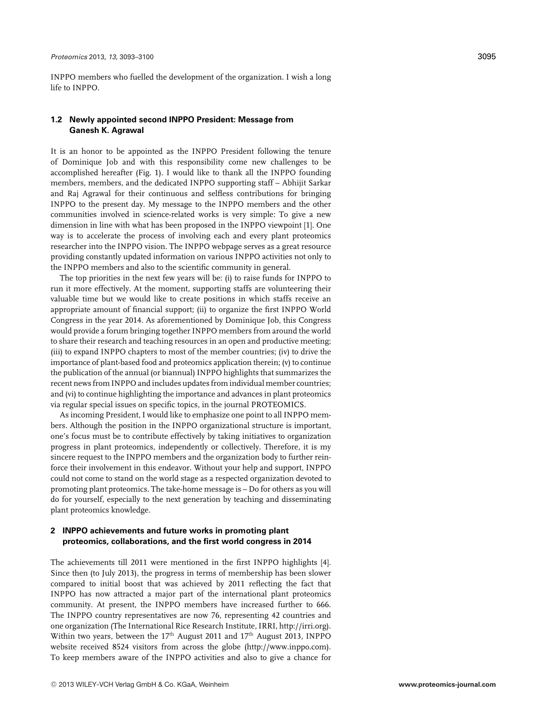INPPO members who fuelled the development of the organization. I wish a long life to INPPO.

#### **1.2 Newly appointed second INPPO President: Message from Ganesh K. Agrawal**

It is an honor to be appointed as the INPPO President following the tenure of Dominique Job and with this responsibility come new challenges to be accomplished hereafter (Fig. 1). I would like to thank all the INPPO founding members, members, and the dedicated INPPO supporting staff – Abhijit Sarkar and Raj Agrawal for their continuous and selfless contributions for bringing INPPO to the present day. My message to the INPPO members and the other communities involved in science-related works is very simple: To give a new dimension in line with what has been proposed in the INPPO viewpoint [1]. One way is to accelerate the process of involving each and every plant proteomics researcher into the INPPO vision. The INPPO webpage serves as a great resource providing constantly updated information on various INPPO activities not only to the INPPO members and also to the scientific community in general.

The top priorities in the next few years will be: (i) to raise funds for INPPO to run it more effectively. At the moment, supporting staffs are volunteering their valuable time but we would like to create positions in which staffs receive an appropriate amount of financial support; (ii) to organize the first INPPO World Congress in the year 2014. As aforementioned by Dominique Job, this Congress would provide a forum bringing together INPPO members from around the world to share their research and teaching resources in an open and productive meeting; (iii) to expand INPPO chapters to most of the member countries; (iv) to drive the importance of plant-based food and proteomics application therein; (v) to continue the publication of the annual (or biannual) INPPO highlights that summarizes the recent news from INPPO and includes updates from individual member countries; and (vi) to continue highlighting the importance and advances in plant proteomics via regular special issues on specific topics, in the journal PROTEOMICS.

As incoming President, I would like to emphasize one point to all INPPO members. Although the position in the INPPO organizational structure is important, one's focus must be to contribute effectively by taking initiatives to organization progress in plant proteomics, independently or collectively. Therefore, it is my sincere request to the INPPO members and the organization body to further reinforce their involvement in this endeavor. Without your help and support, INPPO could not come to stand on the world stage as a respected organization devoted to promoting plant proteomics. The take-home message is – Do for others as you will do for yourself, especially to the next generation by teaching and disseminating plant proteomics knowledge.

#### **2 INPPO achievements and future works in promoting plant proteomics, collaborations, and the first world congress in 2014**

The achievements till 2011 were mentioned in the first INPPO highlights [4]. Since then (to July 2013), the progress in terms of membership has been slower compared to initial boost that was achieved by 2011 reflecting the fact that INPPO has now attracted a major part of the international plant proteomics community. At present, the INPPO members have increased further to 666. The INPPO country representatives are now 76, representing 42 countries and one organization (The International Rice Research Institute, IRRI, [http://irri.org\)](http://irri.org). Within two years, between the  $17<sup>th</sup>$  August 2011 and  $17<sup>th</sup>$  August 2013, INPPO website received 8524 visitors from across the globe [\(http://www.inppo.com\)](http://www.inppo.com). To keep members aware of the INPPO activities and also to give a chance for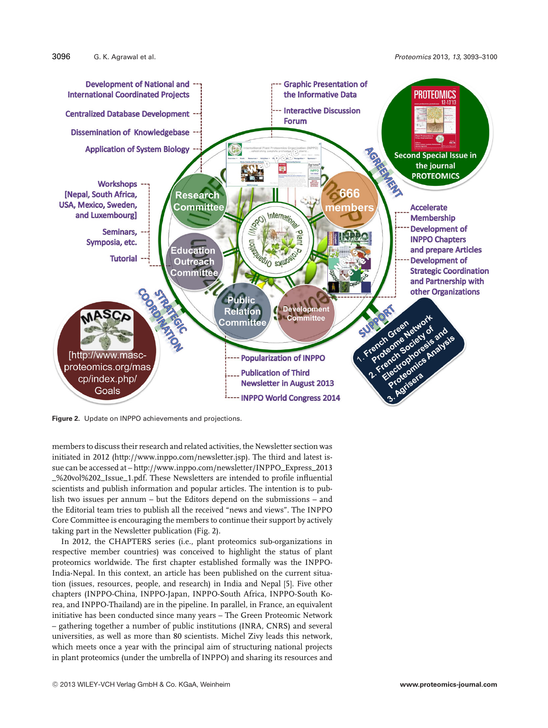

**Figure 2.** Update on INPPO achievements and projections.

members to discuss their research and related activities, the Newsletter section was initiated in 2012 [\(http://www.inppo.com/newsletter.jsp\)](http://www.inppo.com/newsletter.jsp). The third and latest issue can be accessed at – [http://www.inppo.com/newsletter/INPPO\\_Express\\_2013](http://www.inppo.com/newsletter/INPPO_Express_2013_%20vol%202_Issue_1.pdf) [\\_%20vol%202\\_Issue\\_1.pdf.](http://www.inppo.com/newsletter/INPPO_Express_2013_%20vol%202_Issue_1.pdf) These Newsletters are intended to profile influential scientists and publish information and popular articles. The intention is to publish two issues per annum – but the Editors depend on the submissions – and the Editorial team tries to publish all the received "news and views". The INPPO Core Committee is encouraging the members to continue their support by actively taking part in the Newsletter publication (Fig. 2).

In 2012, the CHAPTERS series (i.e., plant proteomics sub-organizations in respective member countries) was conceived to highlight the status of plant proteomics worldwide. The first chapter established formally was the INPPO-India-Nepal. In this context, an article has been published on the current situation (issues, resources, people, and research) in India and Nepal [5]. Five other chapters (INPPO-China, INPPO-Japan, INPPO-South Africa, INPPO-South Korea, and INPPO-Thailand) are in the pipeline. In parallel, in France, an equivalent initiative has been conducted since many years – The Green Proteomic Network – gathering together a number of public institutions (INRA, CNRS) and several universities, as well as more than 80 scientists. Michel Zivy leads this network, which meets once a year with the principal aim of structuring national projects in plant proteomics (under the umbrella of INPPO) and sharing its resources and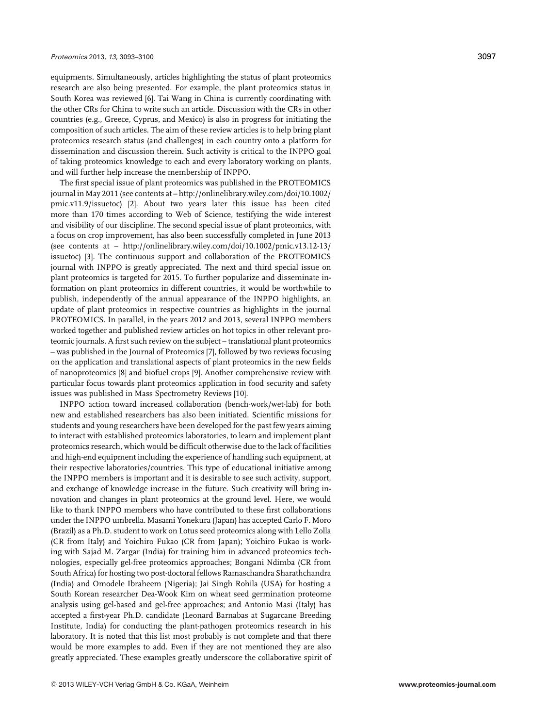equipments. Simultaneously, articles highlighting the status of plant proteomics research are also being presented. For example, the plant proteomics status in South Korea was reviewed [6]. Tai Wang in China is currently coordinating with the other CRs for China to write such an article. Discussion with the CRs in other countries (e.g., Greece, Cyprus, and Mexico) is also in progress for initiating the composition of such articles. The aim of these review articles is to help bring plant proteomics research status (and challenges) in each country onto a platform for dissemination and discussion therein. Such activity is critical to the INPPO goal of taking proteomics knowledge to each and every laboratory working on plants, and will further help increase the membership of INPPO.

The first special issue of plant proteomics was published in the PROTEOMICS journal in May 2011 (see contents at – [http://onlinelibrary.wiley.com/doi/10.1002/](http://onlinelibrary.wiley.com/doi/10.1002/pmic.v11.9/issuetoc) [pmic.v11.9/issuetoc\)](http://onlinelibrary.wiley.com/doi/10.1002/pmic.v11.9/issuetoc) [2]. About two years later this issue has been cited more than 170 times according to Web of Science, testifying the wide interest and visibility of our discipline. The second special issue of plant proteomics, with a focus on crop improvement, has also been successfully completed in June 2013 (see contents at – [http://onlinelibrary.wiley.com/doi/10.1002/pmic.v13.12-13/](http://onlinelibrary.wiley.com/doi/10.1002/pmic.v13.12-13/issuetoc) [issuetoc\)](http://onlinelibrary.wiley.com/doi/10.1002/pmic.v13.12-13/issuetoc) [3]. The continuous support and collaboration of the PROTEOMICS journal with INPPO is greatly appreciated. The next and third special issue on plant proteomics is targeted for 2015. To further popularize and disseminate information on plant proteomics in different countries, it would be worthwhile to publish, independently of the annual appearance of the INPPO highlights, an update of plant proteomics in respective countries as highlights in the journal PROTEOMICS. In parallel, in the years 2012 and 2013, several INPPO members worked together and published review articles on hot topics in other relevant proteomic journals. A first such review on the subject – translational plant proteomics – was published in the Journal of Proteomics [7], followed by two reviews focusing on the application and translational aspects of plant proteomics in the new fields of nanoproteomics [8] and biofuel crops [9]. Another comprehensive review with particular focus towards plant proteomics application in food security and safety issues was published in Mass Spectrometry Reviews [10].

INPPO action toward increased collaboration (bench-work/wet-lab) for both new and established researchers has also been initiated. Scientific missions for students and young researchers have been developed for the past few years aiming to interact with established proteomics laboratories, to learn and implement plant proteomics research, which would be difficult otherwise due to the lack of facilities and high-end equipment including the experience of handling such equipment, at their respective laboratories/countries. This type of educational initiative among the INPPO members is important and it is desirable to see such activity, support, and exchange of knowledge increase in the future. Such creativity will bring innovation and changes in plant proteomics at the ground level. Here, we would like to thank INPPO members who have contributed to these first collaborations under the INPPO umbrella. Masami Yonekura (Japan) has accepted Carlo F. Moro (Brazil) as a Ph.D. student to work on Lotus seed proteomics along with Lello Zolla (CR from Italy) and Yoichiro Fukao (CR from Japan); Yoichiro Fukao is working with Sajad M. Zargar (India) for training him in advanced proteomics technologies, especially gel-free proteomics approaches; Bongani Ndimba (CR from South Africa) for hosting two post-doctoral fellows Ramaschandra Sharathchandra (India) and Omodele Ibraheem (Nigeria); Jai Singh Rohila (USA) for hosting a South Korean researcher Dea-Wook Kim on wheat seed germination proteome analysis using gel-based and gel-free approaches; and Antonio Masi (Italy) has accepted a first-year Ph.D. candidate (Leonard Barnabas at Sugarcane Breeding Institute, India) for conducting the plant-pathogen proteomics research in his laboratory. It is noted that this list most probably is not complete and that there would be more examples to add. Even if they are not mentioned they are also greatly appreciated. These examples greatly underscore the collaborative spirit of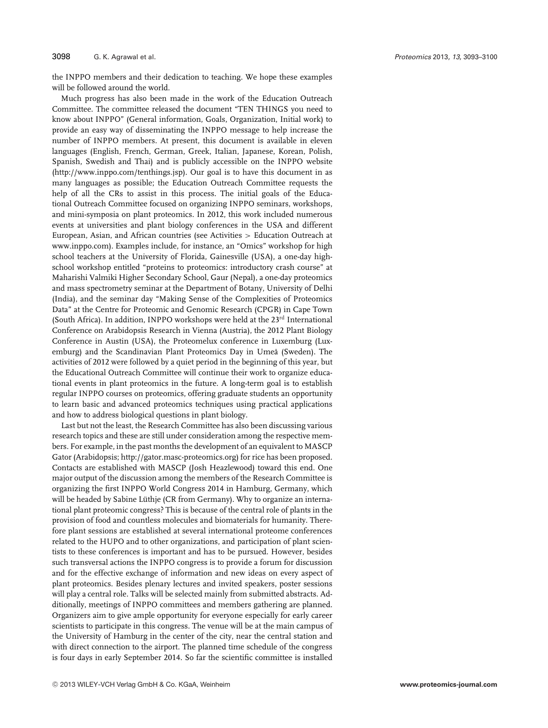the INPPO members and their dedication to teaching. We hope these examples will be followed around the world.

Much progress has also been made in the work of the Education Outreach Committee. The committee released the document "TEN THINGS you need to know about INPPO" (General information, Goals, Organization, Initial work) to provide an easy way of disseminating the INPPO message to help increase the number of INPPO members. At present, this document is available in eleven languages (English, French, German, Greek, Italian, Japanese, Korean, Polish, Spanish, Swedish and Thai) and is publicly accessible on the INPPO website [\(http://www.inppo.com/tenthings.jsp\)](http://www.inppo.com/tenthings.jsp). Our goal is to have this document in as many languages as possible; the Education Outreach Committee requests the help of all the CRs to assist in this process. The initial goals of the Educational Outreach Committee focused on organizing INPPO seminars, workshops, and mini-symposia on plant proteomics. In 2012, this work included numerous events at universities and plant biology conferences in the USA and different European, Asian, and African countries (see Activities > Education Outreach at [www.inppo.com\)](http://www.inppo.com). Examples include, for instance, an "Omics" workshop for high school teachers at the University of Florida, Gainesville (USA), a one-day highschool workshop entitled "proteins to proteomics: introductory crash course" at Maharishi Valmiki Higher Secondary School, Gaur (Nepal), a one-day proteomics and mass spectrometry seminar at the Department of Botany, University of Delhi (India), and the seminar day "Making Sense of the Complexities of Proteomics Data" at the Centre for Proteomic and Genomic Research (CPGR) in Cape Town (South Africa). In addition, INPPO workshops were held at the  $23<sup>rd</sup>$  International Conference on Arabidopsis Research in Vienna (Austria), the 2012 Plant Biology Conference in Austin (USA), the Proteomelux conference in Luxemburg (Luxemburg) and the Scandinavian Plant Proteomics Day in Umeå (Sweden). The activities of 2012 were followed by a quiet period in the beginning of this year, but the Educational Outreach Committee will continue their work to organize educational events in plant proteomics in the future. A long-term goal is to establish regular INPPO courses on proteomics, offering graduate students an opportunity to learn basic and advanced proteomics techniques using practical applications and how to address biological questions in plant biology.

Last but not the least, the Research Committee has also been discussing various research topics and these are still under consideration among the respective members. For example, in the past months the development of an equivalent to MASCP Gator (Arabidopsis; [http://gator.masc-proteomics.org\)](http://gator.masc-proteomics.org) for rice has been proposed. Contacts are established with MASCP (Josh Heazlewood) toward this end. One major output of the discussion among the members of the Research Committee is organizing the first INPPO World Congress 2014 in Hamburg, Germany, which will be headed by Sabine Lüthje (CR from Germany). Why to organize an international plant proteomic congress? This is because of the central role of plants in the provision of food and countless molecules and biomaterials for humanity. Therefore plant sessions are established at several international proteome conferences related to the HUPO and to other organizations, and participation of plant scientists to these conferences is important and has to be pursued. However, besides such transversal actions the INPPO congress is to provide a forum for discussion and for the effective exchange of information and new ideas on every aspect of plant proteomics. Besides plenary lectures and invited speakers, poster sessions will play a central role. Talks will be selected mainly from submitted abstracts. Additionally, meetings of INPPO committees and members gathering are planned. Organizers aim to give ample opportunity for everyone especially for early career scientists to participate in this congress. The venue will be at the main campus of the University of Hamburg in the center of the city, near the central station and with direct connection to the airport. The planned time schedule of the congress is four days in early September 2014. So far the scientific committee is installed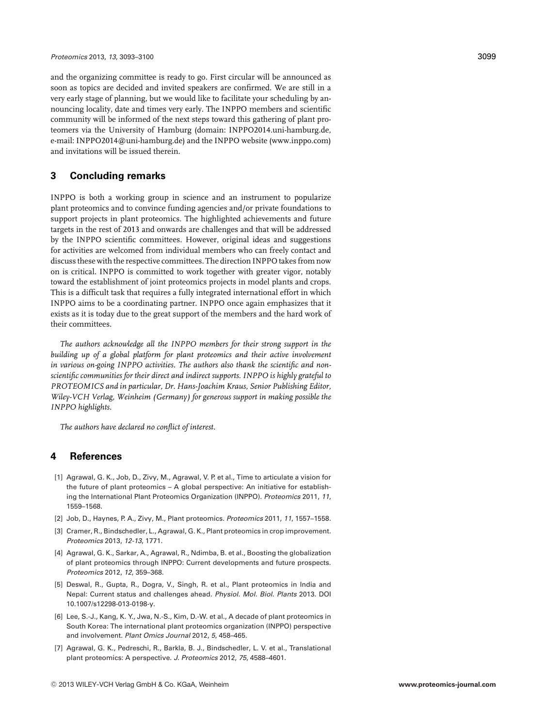and the organizing committee is ready to go. First circular will be announced as soon as topics are decided and invited speakers are confirmed. We are still in a very early stage of planning, but we would like to facilitate your scheduling by announcing locality, date and times very early. The INPPO members and scientific community will be informed of the next steps toward this gathering of plant proteomers via the University of Hamburg (domain: INPPO2014.uni-hamburg.de, e-mail: INPPO2014@uni-hamburg.de) and the INPPO website [\(www.inppo.com\)](http://www.inppo.com) and invitations will be issued therein.

### **3 Concluding remarks**

INPPO is both a working group in science and an instrument to popularize plant proteomics and to convince funding agencies and/or private foundations to support projects in plant proteomics. The highlighted achievements and future targets in the rest of 2013 and onwards are challenges and that will be addressed by the INPPO scientific committees. However, original ideas and suggestions for activities are welcomed from individual members who can freely contact and discuss these with the respective committees. The direction INPPO takes from now on is critical. INPPO is committed to work together with greater vigor, notably toward the establishment of joint proteomics projects in model plants and crops. This is a difficult task that requires a fully integrated international effort in which INPPO aims to be a coordinating partner. INPPO once again emphasizes that it exists as it is today due to the great support of the members and the hard work of their committees.

*The authors acknowledge all the INPPO members for their strong support in the building up of a global platform for plant proteomics and their active involvement in various on-going INPPO activities. The authors also thank the scientific and nonscientific communities for their direct and indirect supports. INPPO is highly grateful to PROTEOMICS and in particular, Dr. Hans-Joachim Kraus, Senior Publishing Editor, Wiley-VCH Verlag, Weinheim (Germany) for generous support in making possible the INPPO highlights.*

*The authors have declared no conflict of interest.*

### **4 References**

- [1] Agrawal, G. K., Job, D., Zivy, M., Agrawal, V. P. et al., Time to articulate a vision for the future of plant proteomics – A global perspective: An initiative for establishing the International Plant Proteomics Organization (INPPO). *Proteomics* 2011, *11*, 1559–1568.
- [2] Job, D., Haynes, P. A., Zivy, M., Plant proteomics. *Proteomics* 2011, *11*, 1557–1558.
- [3] Cramer, R., Bindschedler, L., Agrawal, G. K., Plant proteomics in crop improvement. *Proteomics* 2013, *12-13*, 1771.
- [4] Agrawal, G. K., Sarkar, A., Agrawal, R., Ndimba, B. et al., Boosting the globalization of plant proteomics through INPPO: Current developments and future prospects. *Proteomics* 2012, *12*, 359–368.
- [5] Deswal, R., Gupta, R., Dogra, V., Singh, R. et al., Plant proteomics in India and Nepal: Current status and challenges ahead. *Physiol. Mol. Biol. Plants* 2013. DOI 10.1007/s12298-013-0198-y.
- [6] Lee, S.-J., Kang, K. Y., Jwa, N.-S., Kim, D.-W. et al., A decade of plant proteomics in South Korea: The international plant proteomics organization (INPPO) perspective and involvement. *Plant Omics Journal* 2012, *5*, 458–465.
- [7] Agrawal, G. K., Pedreschi, R., Barkla, B. J., Bindschedler, L. V. et al., Translational plant proteomics: A perspective. *J. Proteomics* 2012, *75*, 4588–4601.